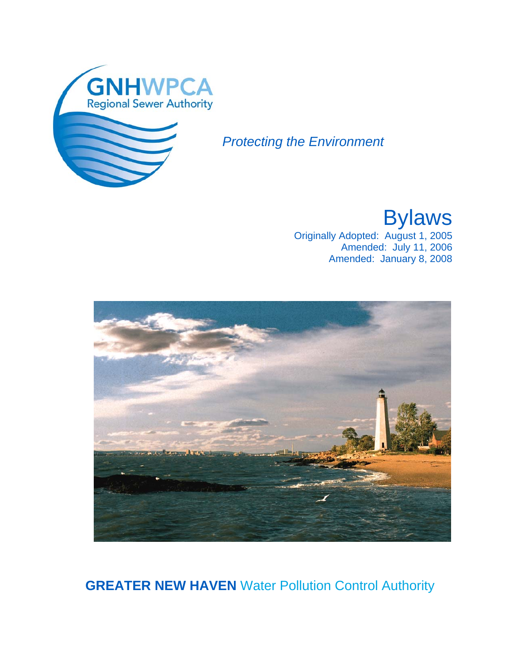

## *Protecting the Environment*

Bylaws

Originally Adopted: August 1, 2005 Amended: July 11, 2006 Amended: January 8, 2008



**GREATER NEW HAVEN** Water Pollution Control Authority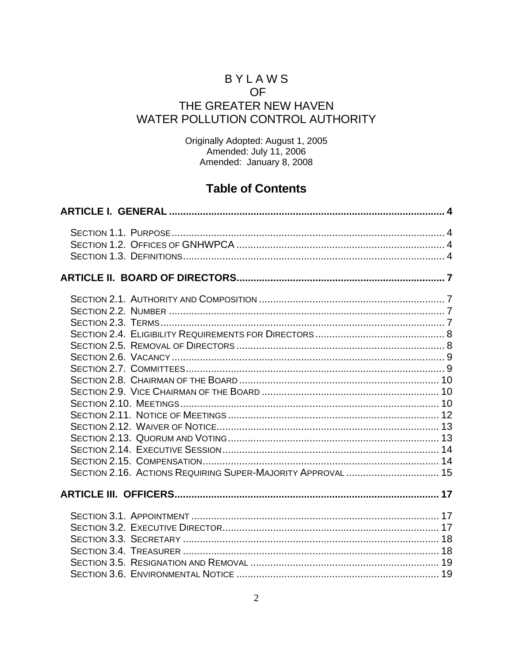### **BYLAWS OF** THE GREATER NEW HAVEN WATER POLLUTION CONTROL AUTHORITY

Originally Adopted: August 1, 2005<br>Amended: July 11, 2006<br>Amended: January 8, 2008

### **Table of Contents**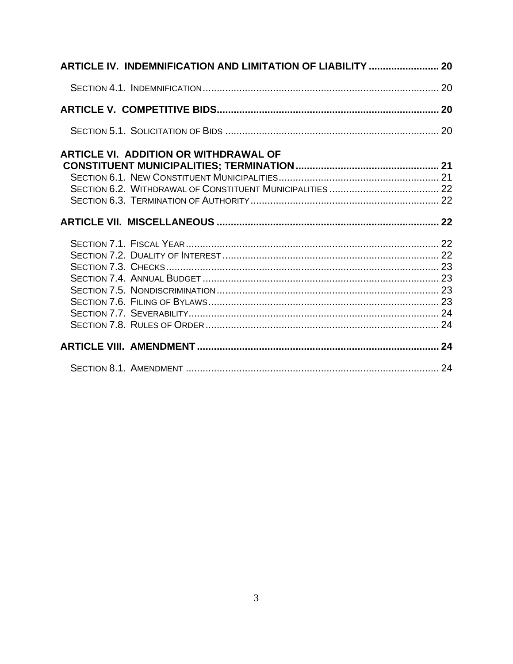| ARTICLE IV. INDEMNIFICATION AND LIMITATION OF LIABILITY  20 |  |
|-------------------------------------------------------------|--|
|                                                             |  |
|                                                             |  |
|                                                             |  |
| <b>ARTICLE VI. ADDITION OR WITHDRAWAL OF</b>                |  |
|                                                             |  |
|                                                             |  |
|                                                             |  |
|                                                             |  |
|                                                             |  |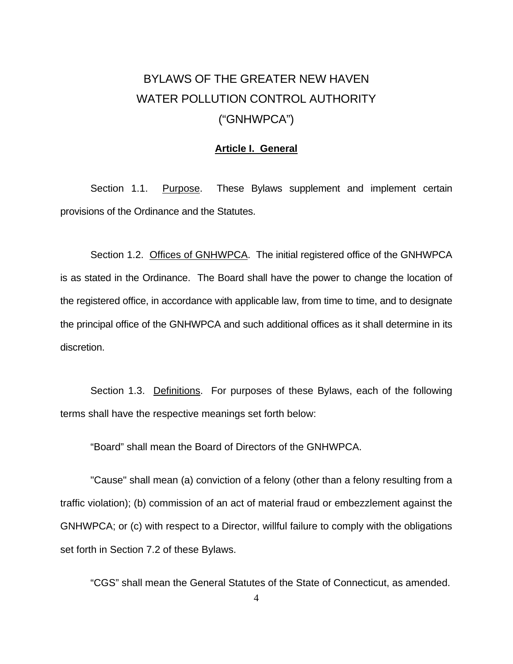# <span id="page-3-0"></span>BYLAWS OF THE GREATER NEW HAVEN WATER POLLUTION CONTROL AUTHORITY ("GNHWPCA")

#### **Article I. General**

Section 1.1. Purpose. These Bylaws supplement and implement certain provisions of the Ordinance and the Statutes.

 Section 1.2. Offices of GNHWPCA. The initial registered office of the GNHWPCA is as stated in the Ordinance. The Board shall have the power to change the location of the registered office, in accordance with applicable law, from time to time, and to designate the principal office of the GNHWPCA and such additional offices as it shall determine in its discretion.

Section 1.3. Definitions. For purposes of these Bylaws, each of the following terms shall have the respective meanings set forth below:

"Board" shall mean the Board of Directors of the GNHWPCA.

 "Cause" shall mean (a) conviction of a felony (other than a felony resulting from a traffic violation); (b) commission of an act of material fraud or embezzlement against the GNHWPCA; or (c) with respect to a Director, willful failure to comply with the obligations set forth in Section 7.2 of these Bylaws.

"CGS" shall mean the General Statutes of the State of Connecticut, as amended.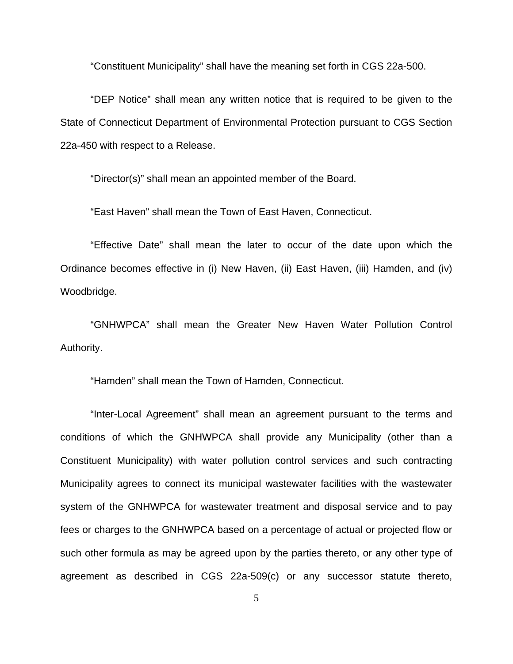"Constituent Municipality" shall have the meaning set forth in CGS 22a-500.

 "DEP Notice" shall mean any written notice that is required to be given to the State of Connecticut Department of Environmental Protection pursuant to CGS Section 22a-450 with respect to a Release.

"Director(s)" shall mean an appointed member of the Board.

"East Haven" shall mean the Town of East Haven, Connecticut.

 "Effective Date" shall mean the later to occur of the date upon which the Ordinance becomes effective in (i) New Haven, (ii) East Haven, (iii) Hamden, and (iv) Woodbridge.

 "GNHWPCA" shall mean the Greater New Haven Water Pollution Control Authority.

"Hamden" shall mean the Town of Hamden, Connecticut.

 "Inter-Local Agreement" shall mean an agreement pursuant to the terms and conditions of which the GNHWPCA shall provide any Municipality (other than a Constituent Municipality) with water pollution control services and such contracting Municipality agrees to connect its municipal wastewater facilities with the wastewater system of the GNHWPCA for wastewater treatment and disposal service and to pay fees or charges to the GNHWPCA based on a percentage of actual or projected flow or such other formula as may be agreed upon by the parties thereto, or any other type of agreement as described in CGS 22a-509(c) or any successor statute thereto,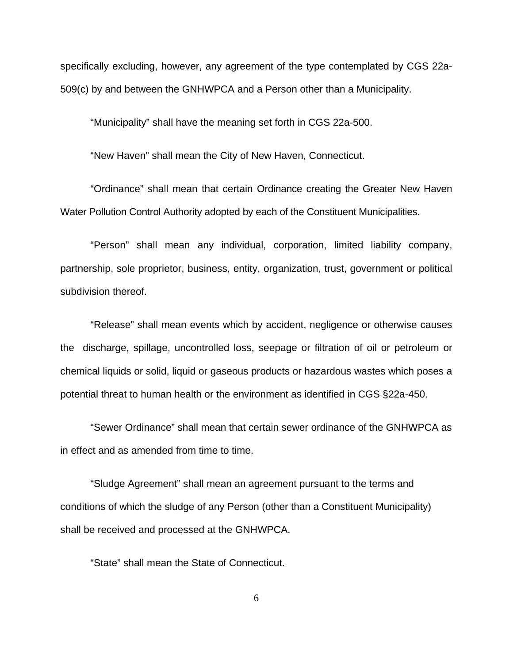specifically excluding, however, any agreement of the type contemplated by CGS 22a-509(c) by and between the GNHWPCA and a Person other than a Municipality.

"Municipality" shall have the meaning set forth in CGS 22a-500.

"New Haven" shall mean the City of New Haven, Connecticut.

 "Ordinance" shall mean that certain Ordinance creating the Greater New Haven Water Pollution Control Authority adopted by each of the Constituent Municipalities.

 "Person" shall mean any individual, corporation, limited liability company, partnership, sole proprietor, business, entity, organization, trust, government or political subdivision thereof.

 "Release" shall mean events which by accident, negligence or otherwise causes the discharge, spillage, uncontrolled loss, seepage or filtration of oil or petroleum or chemical liquids or solid, liquid or gaseous products or hazardous wastes which poses a potential threat to human health or the environment as identified in CGS §22a-450.

"Sewer Ordinance" shall mean that certain sewer ordinance of the GNHWPCA as in effect and as amended from time to time.

"Sludge Agreement" shall mean an agreement pursuant to the terms and conditions of which the sludge of any Person (other than a Constituent Municipality) shall be received and processed at the GNHWPCA.

"State" shall mean the State of Connecticut.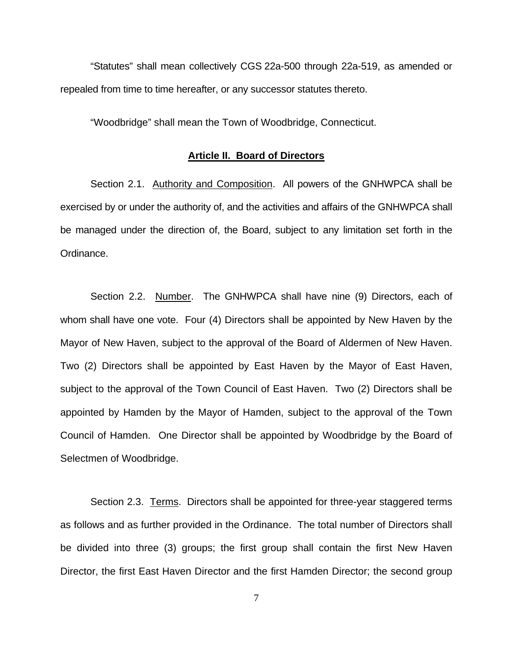<span id="page-6-0"></span> "Statutes" shall mean collectively CGS 22a-500 through 22a-519, as amended or repealed from time to time hereafter, or any successor statutes thereto.

"Woodbridge" shall mean the Town of Woodbridge, Connecticut.

#### **Article II. Board of Directors**

Section 2.1. Authority and Composition. All powers of the GNHWPCA shall be exercised by or under the authority of, and the activities and affairs of the GNHWPCA shall be managed under the direction of, the Board, subject to any limitation set forth in the Ordinance.

 Section 2.2. Number. The GNHWPCA shall have nine (9) Directors, each of whom shall have one vote. Four (4) Directors shall be appointed by New Haven by the Mayor of New Haven, subject to the approval of the Board of Aldermen of New Haven. Two (2) Directors shall be appointed by East Haven by the Mayor of East Haven, subject to the approval of the Town Council of East Haven. Two (2) Directors shall be appointed by Hamden by the Mayor of Hamden, subject to the approval of the Town Council of Hamden. One Director shall be appointed by Woodbridge by the Board of Selectmen of Woodbridge.

 Section 2.3. Terms. Directors shall be appointed for three-year staggered terms as follows and as further provided in the Ordinance. The total number of Directors shall be divided into three (3) groups; the first group shall contain the first New Haven Director, the first East Haven Director and the first Hamden Director; the second group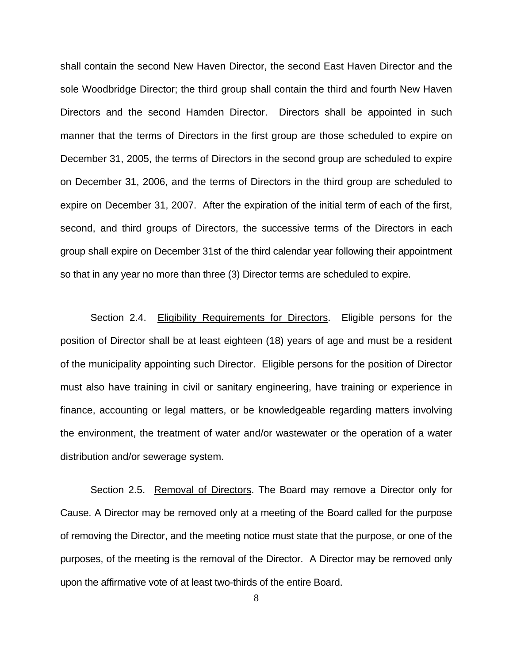<span id="page-7-0"></span>shall contain the second New Haven Director, the second East Haven Director and the sole Woodbridge Director; the third group shall contain the third and fourth New Haven Directors and the second Hamden Director. Directors shall be appointed in such manner that the terms of Directors in the first group are those scheduled to expire on December 31, 2005, the terms of Directors in the second group are scheduled to expire on December 31, 2006, and the terms of Directors in the third group are scheduled to expire on December 31, 2007. After the expiration of the initial term of each of the first, second, and third groups of Directors, the successive terms of the Directors in each group shall expire on December 31st of the third calendar year following their appointment so that in any year no more than three (3) Director terms are scheduled to expire.

Section 2.4. Eligibility Requirements for Directors. Eligible persons for the position of Director shall be at least eighteen (18) years of age and must be a resident of the municipality appointing such Director. Eligible persons for the position of Director must also have training in civil or sanitary engineering, have training or experience in finance, accounting or legal matters, or be knowledgeable regarding matters involving the environment, the treatment of water and/or wastewater or the operation of a water distribution and/or sewerage system.

 Section 2.5. Removal of Directors. The Board may remove a Director only for Cause. A Director may be removed only at a meeting of the Board called for the purpose of removing the Director, and the meeting notice must state that the purpose, or one of the purposes, of the meeting is the removal of the Director. A Director may be removed only upon the affirmative vote of at least two-thirds of the entire Board.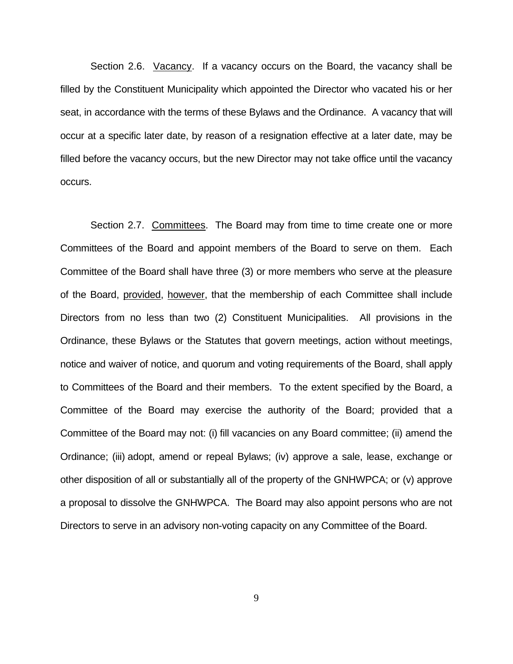<span id="page-8-0"></span> Section 2.6. Vacancy. If a vacancy occurs on the Board, the vacancy shall be filled by the Constituent Municipality which appointed the Director who vacated his or her seat, in accordance with the terms of these Bylaws and the Ordinance. A vacancy that will occur at a specific later date, by reason of a resignation effective at a later date, may be filled before the vacancy occurs, but the new Director may not take office until the vacancy occurs.

 Section 2.7. Committees. The Board may from time to time create one or more Committees of the Board and appoint members of the Board to serve on them. Each Committee of the Board shall have three (3) or more members who serve at the pleasure of the Board, provided, however, that the membership of each Committee shall include Directors from no less than two (2) Constituent Municipalities. All provisions in the Ordinance, these Bylaws or the Statutes that govern meetings, action without meetings, notice and waiver of notice, and quorum and voting requirements of the Board, shall apply to Committees of the Board and their members. To the extent specified by the Board, a Committee of the Board may exercise the authority of the Board; provided that a Committee of the Board may not: (i) fill vacancies on any Board committee; (ii) amend the Ordinance; (iii) adopt, amend or repeal Bylaws; (iv) approve a sale, lease, exchange or other disposition of all or substantially all of the property of the GNHWPCA; or (v) approve a proposal to dissolve the GNHWPCA. The Board may also appoint persons who are not Directors to serve in an advisory non-voting capacity on any Committee of the Board.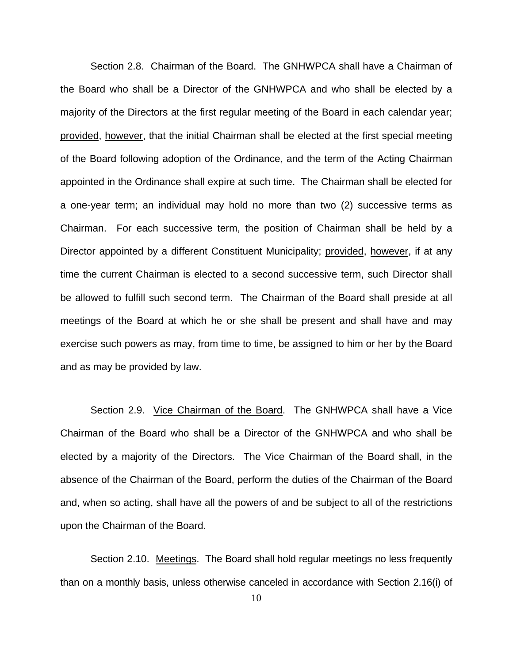<span id="page-9-0"></span> Section 2.8. Chairman of the Board. The GNHWPCA shall have a Chairman of the Board who shall be a Director of the GNHWPCA and who shall be elected by a majority of the Directors at the first regular meeting of the Board in each calendar year; provided, however, that the initial Chairman shall be elected at the first special meeting of the Board following adoption of the Ordinance, and the term of the Acting Chairman appointed in the Ordinance shall expire at such time. The Chairman shall be elected for a one-year term; an individual may hold no more than two (2) successive terms as Chairman. For each successive term, the position of Chairman shall be held by a Director appointed by a different Constituent Municipality; provided, however, if at any time the current Chairman is elected to a second successive term, such Director shall be allowed to fulfill such second term. The Chairman of the Board shall preside at all meetings of the Board at which he or she shall be present and shall have and may exercise such powers as may, from time to time, be assigned to him or her by the Board and as may be provided by law.

Section 2.9. Vice Chairman of the Board. The GNHWPCA shall have a Vice Chairman of the Board who shall be a Director of the GNHWPCA and who shall be elected by a majority of the Directors. The Vice Chairman of the Board shall, in the absence of the Chairman of the Board, perform the duties of the Chairman of the Board and, when so acting, shall have all the powers of and be subject to all of the restrictions upon the Chairman of the Board.

 Section 2.10. Meetings. The Board shall hold regular meetings no less frequently than on a monthly basis, unless otherwise canceled in accordance with Section 2.16(i) of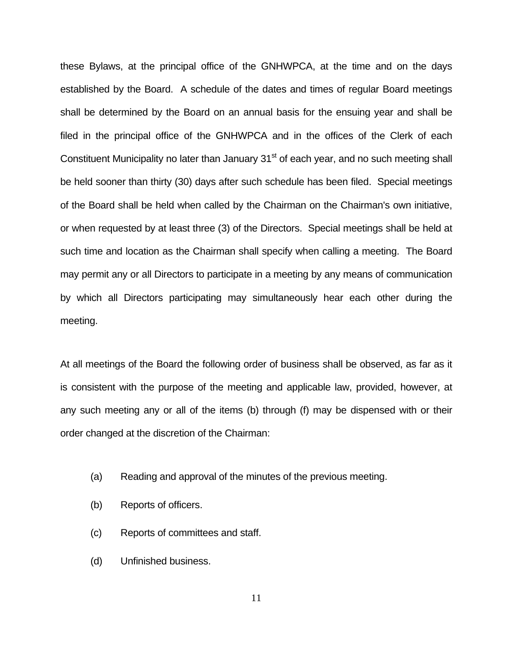these Bylaws, at the principal office of the GNHWPCA, at the time and on the days established by the Board. A schedule of the dates and times of regular Board meetings shall be determined by the Board on an annual basis for the ensuing year and shall be filed in the principal office of the GNHWPCA and in the offices of the Clerk of each Constituent Municipality no later than January 31<sup>st</sup> of each year, and no such meeting shall be held sooner than thirty (30) days after such schedule has been filed. Special meetings of the Board shall be held when called by the Chairman on the Chairman's own initiative, or when requested by at least three (3) of the Directors. Special meetings shall be held at such time and location as the Chairman shall specify when calling a meeting. The Board may permit any or all Directors to participate in a meeting by any means of communication by which all Directors participating may simultaneously hear each other during the meeting.

At all meetings of the Board the following order of business shall be observed, as far as it is consistent with the purpose of the meeting and applicable law, provided, however, at any such meeting any or all of the items (b) through (f) may be dispensed with or their order changed at the discretion of the Chairman:

- (a) Reading and approval of the minutes of the previous meeting.
- (b) Reports of officers.
- (c) Reports of committees and staff.
- (d) Unfinished business.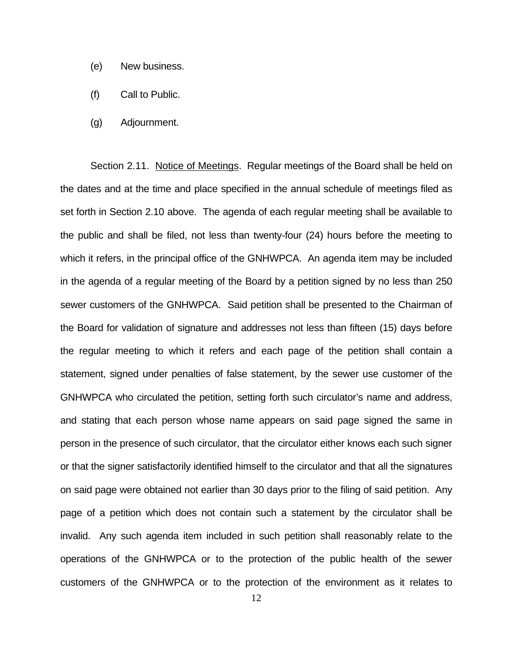- <span id="page-11-0"></span>(e) New business.
- (f) Call to Public.
- (g) Adjournment.

Section 2.11. Notice of Meetings. Regular meetings of the Board shall be held on the dates and at the time and place specified in the annual schedule of meetings filed as set forth in Section 2.10 above. The agenda of each regular meeting shall be available to the public and shall be filed, not less than twenty-four (24) hours before the meeting to which it refers, in the principal office of the GNHWPCA. An agenda item may be included in the agenda of a regular meeting of the Board by a petition signed by no less than 250 sewer customers of the GNHWPCA. Said petition shall be presented to the Chairman of the Board for validation of signature and addresses not less than fifteen (15) days before the regular meeting to which it refers and each page of the petition shall contain a statement, signed under penalties of false statement, by the sewer use customer of the GNHWPCA who circulated the petition, setting forth such circulator's name and address, and stating that each person whose name appears on said page signed the same in person in the presence of such circulator, that the circulator either knows each such signer or that the signer satisfactorily identified himself to the circulator and that all the signatures on said page were obtained not earlier than 30 days prior to the filing of said petition. Any page of a petition which does not contain such a statement by the circulator shall be invalid. Any such agenda item included in such petition shall reasonably relate to the operations of the GNHWPCA or to the protection of the public health of the sewer customers of the GNHWPCA or to the protection of the environment as it relates to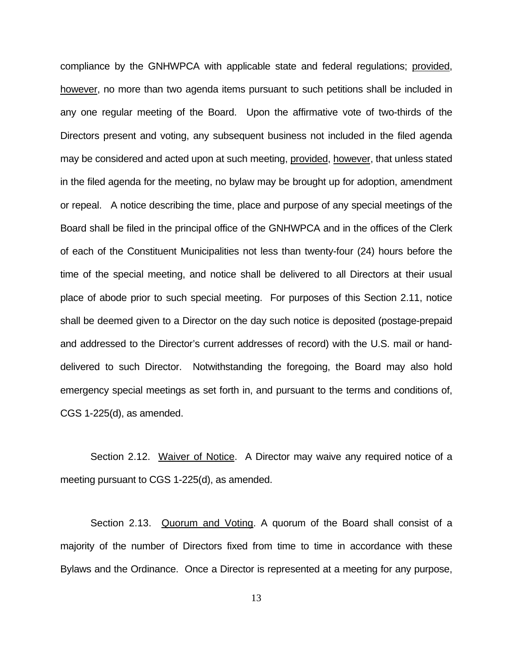<span id="page-12-0"></span>compliance by the GNHWPCA with applicable state and federal regulations; provided, however, no more than two agenda items pursuant to such petitions shall be included in any one regular meeting of the Board. Upon the affirmative vote of two-thirds of the Directors present and voting, any subsequent business not included in the filed agenda may be considered and acted upon at such meeting, provided, however, that unless stated in the filed agenda for the meeting, no bylaw may be brought up for adoption, amendment or repeal. A notice describing the time, place and purpose of any special meetings of the Board shall be filed in the principal office of the GNHWPCA and in the offices of the Clerk of each of the Constituent Municipalities not less than twenty-four (24) hours before the time of the special meeting, and notice shall be delivered to all Directors at their usual place of abode prior to such special meeting. For purposes of this Section 2.11, notice shall be deemed given to a Director on the day such notice is deposited (postage-prepaid and addressed to the Director's current addresses of record) with the U.S. mail or handdelivered to such Director. Notwithstanding the foregoing, the Board may also hold emergency special meetings as set forth in, and pursuant to the terms and conditions of, CGS 1-225(d), as amended.

 Section 2.12. Waiver of Notice. A Director may waive any required notice of a meeting pursuant to CGS 1-225(d), as amended.

Section 2.13. Quorum and Voting. A quorum of the Board shall consist of a majority of the number of Directors fixed from time to time in accordance with these Bylaws and the Ordinance. Once a Director is represented at a meeting for any purpose,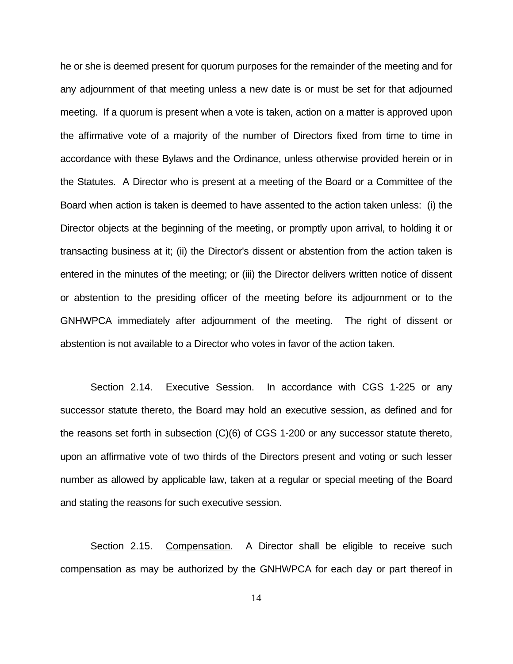<span id="page-13-0"></span>he or she is deemed present for quorum purposes for the remainder of the meeting and for any adjournment of that meeting unless a new date is or must be set for that adjourned meeting. If a quorum is present when a vote is taken, action on a matter is approved upon the affirmative vote of a majority of the number of Directors fixed from time to time in accordance with these Bylaws and the Ordinance, unless otherwise provided herein or in the Statutes. A Director who is present at a meeting of the Board or a Committee of the Board when action is taken is deemed to have assented to the action taken unless: (i) the Director objects at the beginning of the meeting, or promptly upon arrival, to holding it or transacting business at it; (ii) the Director's dissent or abstention from the action taken is entered in the minutes of the meeting; or (iii) the Director delivers written notice of dissent or abstention to the presiding officer of the meeting before its adjournment or to the GNHWPCA immediately after adjournment of the meeting. The right of dissent or abstention is not available to a Director who votes in favor of the action taken.

Section 2.14. Executive Session. In accordance with CGS 1-225 or any successor statute thereto, the Board may hold an executive session, as defined and for the reasons set forth in subsection (C)(6) of CGS 1-200 or any successor statute thereto, upon an affirmative vote of two thirds of the Directors present and voting or such lesser number as allowed by applicable law, taken at a regular or special meeting of the Board and stating the reasons for such executive session.

Section 2.15. Compensation. A Director shall be eligible to receive such compensation as may be authorized by the GNHWPCA for each day or part thereof in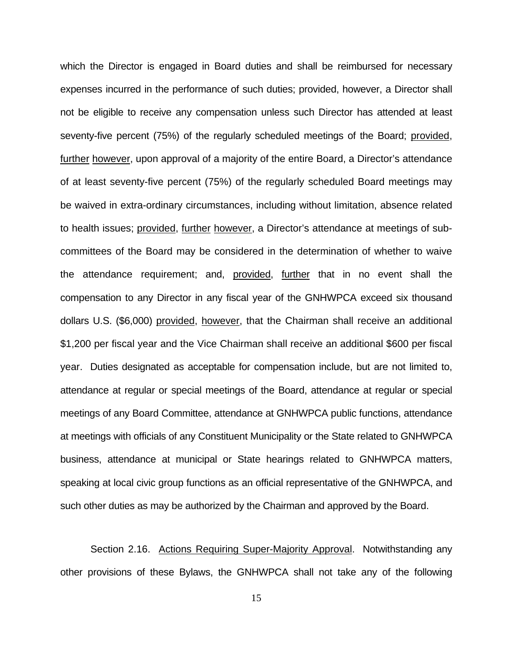<span id="page-14-0"></span>which the Director is engaged in Board duties and shall be reimbursed for necessary expenses incurred in the performance of such duties; provided, however, a Director shall not be eligible to receive any compensation unless such Director has attended at least seventy-five percent (75%) of the regularly scheduled meetings of the Board; provided, further however, upon approval of a majority of the entire Board, a Director's attendance of at least seventy-five percent (75%) of the regularly scheduled Board meetings may be waived in extra-ordinary circumstances, including without limitation, absence related to health issues; provided, further however, a Director's attendance at meetings of subcommittees of the Board may be considered in the determination of whether to waive the attendance requirement; and, provided, further that in no event shall the compensation to any Director in any fiscal year of the GNHWPCA exceed six thousand dollars U.S. (\$6,000) provided, however, that the Chairman shall receive an additional \$1,200 per fiscal year and the Vice Chairman shall receive an additional \$600 per fiscal year. Duties designated as acceptable for compensation include, but are not limited to, attendance at regular or special meetings of the Board, attendance at regular or special meetings of any Board Committee, attendance at GNHWPCA public functions, attendance at meetings with officials of any Constituent Municipality or the State related to GNHWPCA business, attendance at municipal or State hearings related to GNHWPCA matters, speaking at local civic group functions as an official representative of the GNHWPCA, and such other duties as may be authorized by the Chairman and approved by the Board.

Section 2.16. Actions Requiring Super-Majority Approval. Notwithstanding any other provisions of these Bylaws, the GNHWPCA shall not take any of the following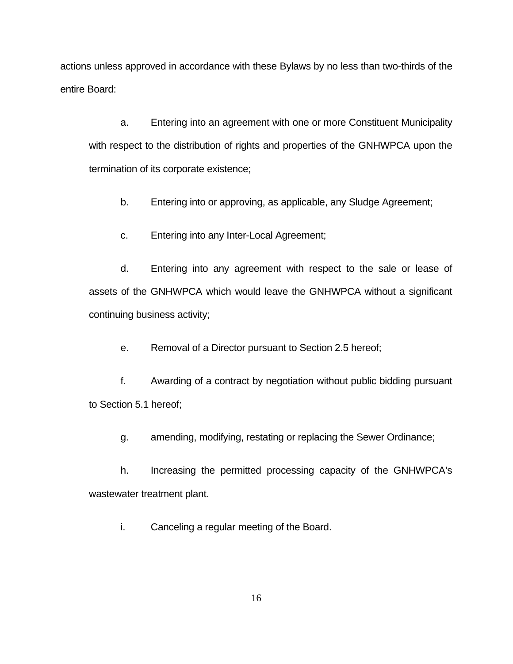actions unless approved in accordance with these Bylaws by no less than two-thirds of the entire Board:

a. Entering into an agreement with one or more Constituent Municipality with respect to the distribution of rights and properties of the GNHWPCA upon the termination of its corporate existence;

b. Entering into or approving, as applicable, any Sludge Agreement;

c. Entering into any Inter-Local Agreement;

d. Entering into any agreement with respect to the sale or lease of assets of the GNHWPCA which would leave the GNHWPCA without a significant continuing business activity;

e. Removal of a Director pursuant to Section 2.5 hereof;

f. Awarding of a contract by negotiation without public bidding pursuant to Section 5.1 hereof;

g. amending, modifying, restating or replacing the Sewer Ordinance;

h. Increasing the permitted processing capacity of the GNHWPCA's wastewater treatment plant.

i. Canceling a regular meeting of the Board.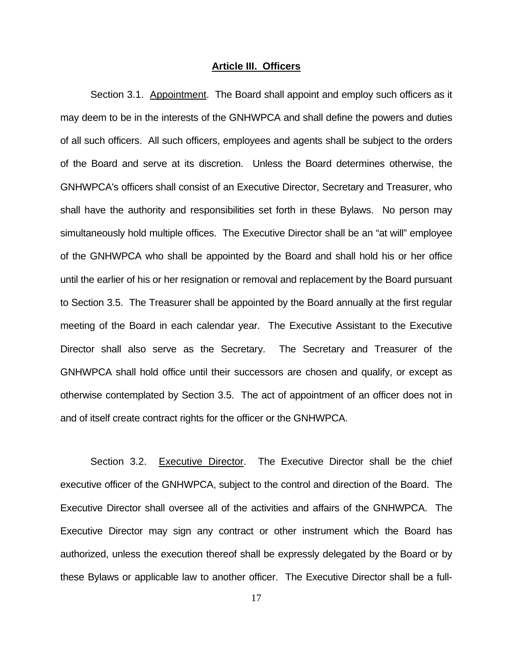#### **Article III. Officers**

<span id="page-16-0"></span> Section 3.1. Appointment. The Board shall appoint and employ such officers as it may deem to be in the interests of the GNHWPCA and shall define the powers and duties of all such officers. All such officers, employees and agents shall be subject to the orders of the Board and serve at its discretion. Unless the Board determines otherwise, the GNHWPCA's officers shall consist of an Executive Director, Secretary and Treasurer, who shall have the authority and responsibilities set forth in these Bylaws. No person may simultaneously hold multiple offices. The Executive Director shall be an "at will" employee of the GNHWPCA who shall be appointed by the Board and shall hold his or her office until the earlier of his or her resignation or removal and replacement by the Board pursuant to Section 3.5. The Treasurer shall be appointed by the Board annually at the first regular meeting of the Board in each calendar year. The Executive Assistant to the Executive Director shall also serve as the Secretary. The Secretary and Treasurer of the GNHWPCA shall hold office until their successors are chosen and qualify, or except as otherwise contemplated by Section 3.5. The act of appointment of an officer does not in and of itself create contract rights for the officer or the GNHWPCA.

 Section 3.2. Executive Director. The Executive Director shall be the chief executive officer of the GNHWPCA, subject to the control and direction of the Board. The Executive Director shall oversee all of the activities and affairs of the GNHWPCA. The Executive Director may sign any contract or other instrument which the Board has authorized, unless the execution thereof shall be expressly delegated by the Board or by these Bylaws or applicable law to another officer. The Executive Director shall be a full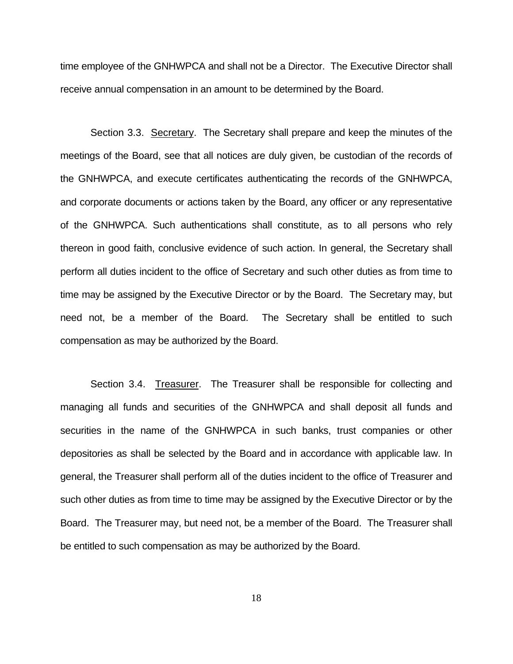<span id="page-17-0"></span>time employee of the GNHWPCA and shall not be a Director. The Executive Director shall receive annual compensation in an amount to be determined by the Board.

 Section 3.3. Secretary. The Secretary shall prepare and keep the minutes of the meetings of the Board, see that all notices are duly given, be custodian of the records of the GNHWPCA, and execute certificates authenticating the records of the GNHWPCA, and corporate documents or actions taken by the Board, any officer or any representative of the GNHWPCA. Such authentications shall constitute, as to all persons who rely thereon in good faith, conclusive evidence of such action. In general, the Secretary shall perform all duties incident to the office of Secretary and such other duties as from time to time may be assigned by the Executive Director or by the Board. The Secretary may, but need not, be a member of the Board. The Secretary shall be entitled to such compensation as may be authorized by the Board.

 Section 3.4. Treasurer. The Treasurer shall be responsible for collecting and managing all funds and securities of the GNHWPCA and shall deposit all funds and securities in the name of the GNHWPCA in such banks, trust companies or other depositories as shall be selected by the Board and in accordance with applicable law. In general, the Treasurer shall perform all of the duties incident to the office of Treasurer and such other duties as from time to time may be assigned by the Executive Director or by the Board. The Treasurer may, but need not, be a member of the Board. The Treasurer shall be entitled to such compensation as may be authorized by the Board.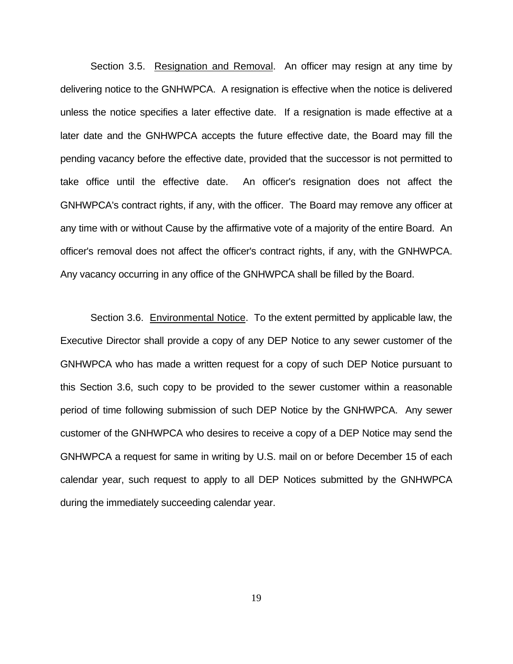<span id="page-18-0"></span>Section 3.5. Resignation and Removal. An officer may resign at any time by delivering notice to the GNHWPCA. A resignation is effective when the notice is delivered unless the notice specifies a later effective date. If a resignation is made effective at a later date and the GNHWPCA accepts the future effective date, the Board may fill the pending vacancy before the effective date, provided that the successor is not permitted to take office until the effective date. An officer's resignation does not affect the GNHWPCA's contract rights, if any, with the officer. The Board may remove any officer at any time with or without Cause by the affirmative vote of a majority of the entire Board. An officer's removal does not affect the officer's contract rights, if any, with the GNHWPCA. Any vacancy occurring in any office of the GNHWPCA shall be filled by the Board.

Section 3.6. Environmental Notice. To the extent permitted by applicable law, the Executive Director shall provide a copy of any DEP Notice to any sewer customer of the GNHWPCA who has made a written request for a copy of such DEP Notice pursuant to this Section 3.6, such copy to be provided to the sewer customer within a reasonable period of time following submission of such DEP Notice by the GNHWPCA. Any sewer customer of the GNHWPCA who desires to receive a copy of a DEP Notice may send the GNHWPCA a request for same in writing by U.S. mail on or before December 15 of each calendar year, such request to apply to all DEP Notices submitted by the GNHWPCA during the immediately succeeding calendar year.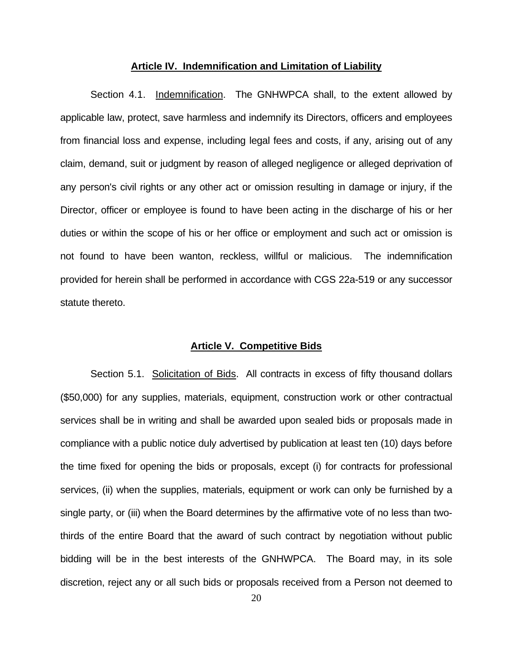#### **Article IV. Indemnification and Limitation of Liability**

<span id="page-19-0"></span> Section 4.1. Indemnification. The GNHWPCA shall, to the extent allowed by applicable law, protect, save harmless and indemnify its Directors, officers and employees from financial loss and expense, including legal fees and costs, if any, arising out of any claim, demand, suit or judgment by reason of alleged negligence or alleged deprivation of any person's civil rights or any other act or omission resulting in damage or injury, if the Director, officer or employee is found to have been acting in the discharge of his or her duties or within the scope of his or her office or employment and such act or omission is not found to have been wanton, reckless, willful or malicious. The indemnification provided for herein shall be performed in accordance with CGS 22a-519 or any successor statute thereto.

#### **Article V. Competitive Bids**

 Section 5.1. Solicitation of Bids. All contracts in excess of fifty thousand dollars (\$50,000) for any supplies, materials, equipment, construction work or other contractual services shall be in writing and shall be awarded upon sealed bids or proposals made in compliance with a public notice duly advertised by publication at least ten (10) days before the time fixed for opening the bids or proposals, except (i) for contracts for professional services, (ii) when the supplies, materials, equipment or work can only be furnished by a single party, or (iii) when the Board determines by the affirmative vote of no less than twothirds of the entire Board that the award of such contract by negotiation without public bidding will be in the best interests of the GNHWPCA. The Board may, in its sole discretion, reject any or all such bids or proposals received from a Person not deemed to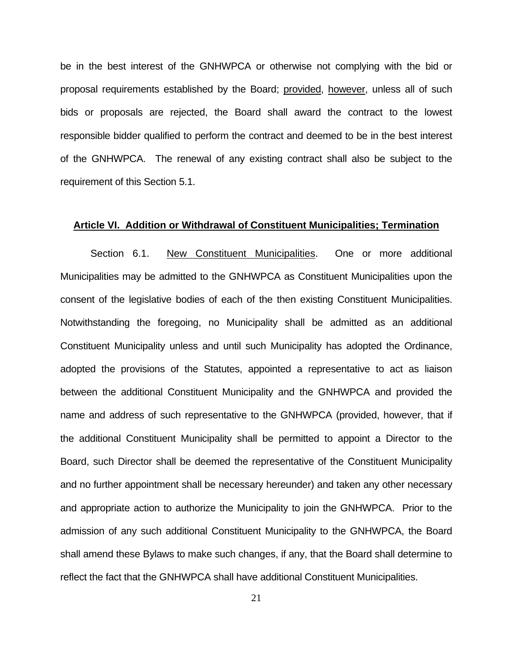<span id="page-20-0"></span>be in the best interest of the GNHWPCA or otherwise not complying with the bid or proposal requirements established by the Board; provided, however, unless all of such bids or proposals are rejected, the Board shall award the contract to the lowest responsible bidder qualified to perform the contract and deemed to be in the best interest of the GNHWPCA. The renewal of any existing contract shall also be subject to the requirement of this Section 5.1.

#### **Article VI. Addition or Withdrawal of Constituent Municipalities; Termination**

 Section 6.1. New Constituent Municipalities. One or more additional Municipalities may be admitted to the GNHWPCA as Constituent Municipalities upon the consent of the legislative bodies of each of the then existing Constituent Municipalities. Notwithstanding the foregoing, no Municipality shall be admitted as an additional Constituent Municipality unless and until such Municipality has adopted the Ordinance, adopted the provisions of the Statutes, appointed a representative to act as liaison between the additional Constituent Municipality and the GNHWPCA and provided the name and address of such representative to the GNHWPCA (provided, however, that if the additional Constituent Municipality shall be permitted to appoint a Director to the Board, such Director shall be deemed the representative of the Constituent Municipality and no further appointment shall be necessary hereunder) and taken any other necessary and appropriate action to authorize the Municipality to join the GNHWPCA. Prior to the admission of any such additional Constituent Municipality to the GNHWPCA, the Board shall amend these Bylaws to make such changes, if any, that the Board shall determine to reflect the fact that the GNHWPCA shall have additional Constituent Municipalities.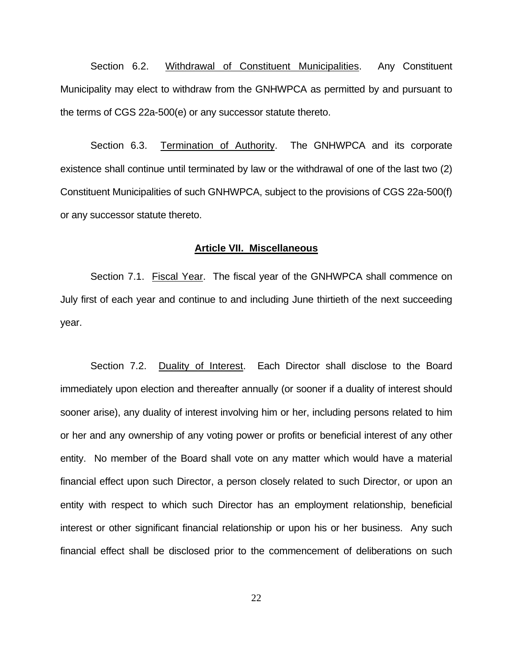<span id="page-21-0"></span> Section 6.2. Withdrawal of Constituent Municipalities. Any Constituent Municipality may elect to withdraw from the GNHWPCA as permitted by and pursuant to the terms of CGS 22a-500(e) or any successor statute thereto.

Section 6.3. Termination of Authority. The GNHWPCA and its corporate existence shall continue until terminated by law or the withdrawal of one of the last two (2) Constituent Municipalities of such GNHWPCA, subject to the provisions of CGS 22a-500(f) or any successor statute thereto.

#### **Article VII. Miscellaneous**

Section 7.1. Fiscal Year. The fiscal year of the GNHWPCA shall commence on July first of each year and continue to and including June thirtieth of the next succeeding year.

 Section 7.2. Duality of Interest. Each Director shall disclose to the Board immediately upon election and thereafter annually (or sooner if a duality of interest should sooner arise), any duality of interest involving him or her, including persons related to him or her and any ownership of any voting power or profits or beneficial interest of any other entity. No member of the Board shall vote on any matter which would have a material financial effect upon such Director, a person closely related to such Director, or upon an entity with respect to which such Director has an employment relationship, beneficial interest or other significant financial relationship or upon his or her business. Any such financial effect shall be disclosed prior to the commencement of deliberations on such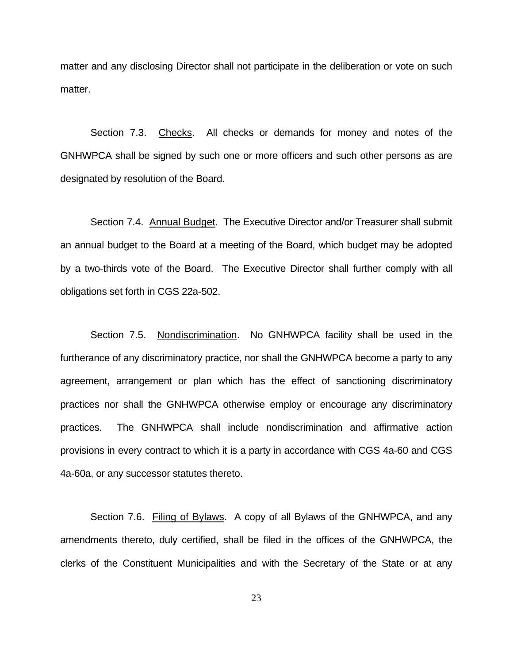<span id="page-22-0"></span>matter and any disclosing Director shall not participate in the deliberation or vote on such matter.

 Section 7.3. Checks. All checks or demands for money and notes of the GNHWPCA shall be signed by such one or more officers and such other persons as are designated by resolution of the Board.

 Section 7.4. Annual Budget. The Executive Director and/or Treasurer shall submit an annual budget to the Board at a meeting of the Board, which budget may be adopted by a two-thirds vote of the Board. The Executive Director shall further comply with all obligations set forth in CGS 22a-502.

Section 7.5. Nondiscrimination. No GNHWPCA facility shall be used in the furtherance of any discriminatory practice, nor shall the GNHWPCA become a party to any agreement, arrangement or plan which has the effect of sanctioning discriminatory practices nor shall the GNHWPCA otherwise employ or encourage any discriminatory practices. The GNHWPCA shall include nondiscrimination and affirmative action provisions in every contract to which it is a party in accordance with CGS 4a-60 and CGS 4a-60a, or any successor statutes thereto.

 Section 7.6. Filing of Bylaws. A copy of all Bylaws of the GNHWPCA, and any amendments thereto, duly certified, shall be filed in the offices of the GNHWPCA, the clerks of the Constituent Municipalities and with the Secretary of the State or at any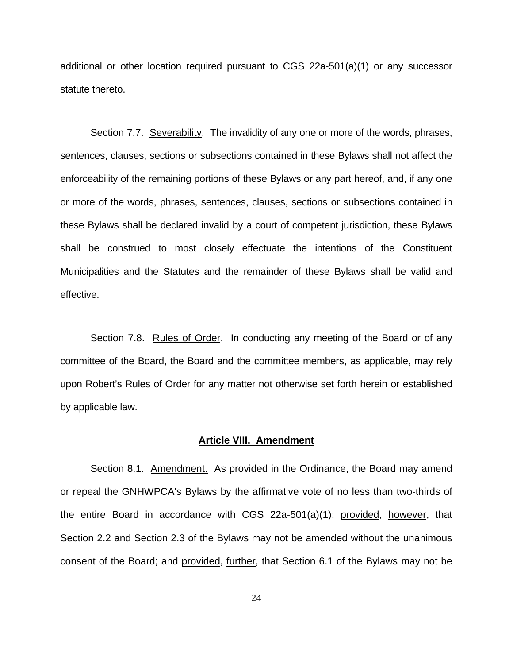<span id="page-23-0"></span>additional or other location required pursuant to CGS 22a-501(a)(1) or any successor statute thereto.

 Section 7.7. Severability. The invalidity of any one or more of the words, phrases, sentences, clauses, sections or subsections contained in these Bylaws shall not affect the enforceability of the remaining portions of these Bylaws or any part hereof, and, if any one or more of the words, phrases, sentences, clauses, sections or subsections contained in these Bylaws shall be declared invalid by a court of competent jurisdiction, these Bylaws shall be construed to most closely effectuate the intentions of the Constituent Municipalities and the Statutes and the remainder of these Bylaws shall be valid and effective.

Section 7.8. Rules of Order. In conducting any meeting of the Board or of any committee of the Board, the Board and the committee members, as applicable, may rely upon Robert's Rules of Order for any matter not otherwise set forth herein or established by applicable law.

#### **Article VIII. Amendment**

Section 8.1. Amendment. As provided in the Ordinance, the Board may amend or repeal the GNHWPCA's Bylaws by the affirmative vote of no less than two-thirds of the entire Board in accordance with CGS 22a-501(a)(1); provided, however, that Section 2.2 and Section 2.3 of the Bylaws may not be amended without the unanimous consent of the Board; and provided, further, that Section 6.1 of the Bylaws may not be